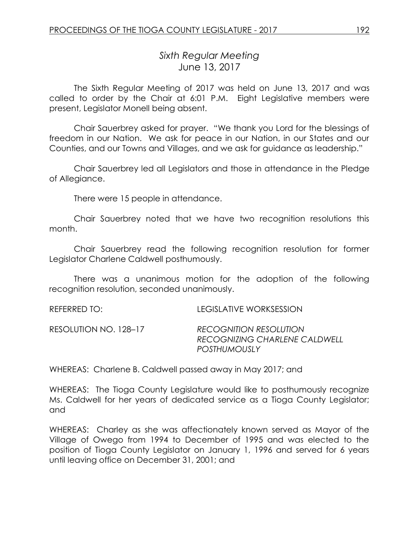# *Sixth Regular Meeting* June 13, 2017

The Sixth Regular Meeting of 2017 was held on June 13, 2017 and was called to order by the Chair at 6:01 P.M. Eight Legislative members were present, Legislator Monell being absent.

Chair Sauerbrey asked for prayer. "We thank you Lord for the blessings of freedom in our Nation. We ask for peace in our Nation, in our States and our Counties, and our Towns and Villages, and we ask for guidance as leadership."

Chair Sauerbrey led all Legislators and those in attendance in the Pledge of Allegiance.

There were 15 people in attendance.

Chair Sauerbrey noted that we have two recognition resolutions this month.

Chair Sauerbrey read the following recognition resolution for former Legislator Charlene Caldwell posthumously.

There was a unanimous motion for the adoption of the following recognition resolution, seconded unanimously.

| REFERRED TO:          | LEGISLATIVE WORKSESSION                                                               |
|-----------------------|---------------------------------------------------------------------------------------|
| RESOLUTION NO. 128–17 | <b>RECOGNITION RESOLUTION</b><br>RECOGNIZING CHARLENE CALDWELL<br><b>POSTHUMOUSLY</b> |

WHEREAS: Charlene B. Caldwell passed away in May 2017; and

WHEREAS: The Tioga County Legislature would like to posthumously recognize Ms. Caldwell for her years of dedicated service as a Tioga County Legislator; and

WHEREAS: Charley as she was affectionately known served as Mayor of the Village of Owego from 1994 to December of 1995 and was elected to the position of Tioga County Legislator on January 1, 1996 and served for 6 years until leaving office on December 31, 2001; and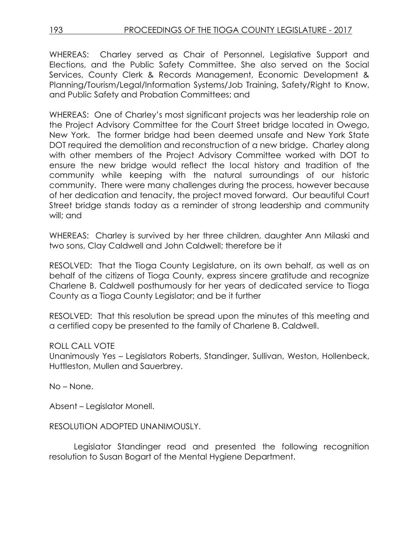WHEREAS: Charley served as Chair of Personnel, Legislative Support and Elections, and the Public Safety Committee. She also served on the Social Services, County Clerk & Records Management, Economic Development & Planning/Tourism/Legal/Information Systems/Job Training, Safety/Right to Know, and Public Safety and Probation Committees; and

WHEREAS: One of Charley's most significant projects was her leadership role on the Project Advisory Committee for the Court Street bridge located in Owego, New York. The former bridge had been deemed unsafe and New York State DOT required the demolition and reconstruction of a new bridge. Charley along with other members of the Project Advisory Committee worked with DOT to ensure the new bridge would reflect the local history and tradition of the community while keeping with the natural surroundings of our historic community. There were many challenges during the process, however because of her dedication and tenacity, the project moved forward. Our beautiful Court Street bridge stands today as a reminder of strong leadership and community will; and

WHEREAS: Charley is survived by her three children, daughter Ann Milaski and two sons, Clay Caldwell and John Caldwell; therefore be it

RESOLVED: That the Tioga County Legislature, on its own behalf, as well as on behalf of the citizens of Tioga County, express sincere gratitude and recognize Charlene B. Caldwell posthumously for her years of dedicated service to Tioga County as a Tioga County Legislator; and be it further

RESOLVED: That this resolution be spread upon the minutes of this meeting and a certified copy be presented to the family of Charlene B. Caldwell.

## ROLL CALL VOTE

Unanimously Yes – Legislators Roberts, Standinger, Sullivan, Weston, Hollenbeck, Huttleston, Mullen and Sauerbrey.

No – None.

Absent – Legislator Monell.

## RESOLUTION ADOPTED UNANIMOUSLY.

Legislator Standinger read and presented the following recognition resolution to Susan Bogart of the Mental Hygiene Department.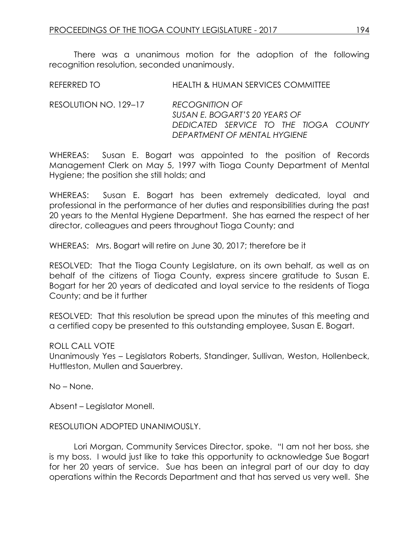There was a unanimous motion for the adoption of the following recognition resolution, seconded unanimously.

| REFERRED TO           | <b>HEALTH &amp; HUMAN SERVICES COMMITTEE</b>           |
|-----------------------|--------------------------------------------------------|
| RESOLUTION NO. 129–17 | <b>RECOGNITION OF</b><br>SUSAN E. BOGART'S 20 YEARS OF |
|                       | DEDICATED SERVICE TO THE TIOGA COUNTY                  |

WHEREAS: Susan E. Bogart was appointed to the position of Records Management Clerk on May 5, 1997 with Tioga County Department of Mental Hygiene; the position she still holds; and

*DEPARTMENT OF MENTAL HYGIENE*

WHEREAS: Susan E. Bogart has been extremely dedicated, loyal and professional in the performance of her duties and responsibilities during the past 20 years to the Mental Hygiene Department. She has earned the respect of her director, colleagues and peers throughout Tioga County; and

WHEREAS: Mrs. Bogart will retire on June 30, 2017; therefore be it

RESOLVED: That the Tioga County Legislature, on its own behalf, as well as on behalf of the citizens of Tioga County, express sincere gratitude to Susan E. Bogart for her 20 years of dedicated and loyal service to the residents of Tioga County; and be it further

RESOLVED: That this resolution be spread upon the minutes of this meeting and a certified copy be presented to this outstanding employee, Susan E. Bogart.

#### ROLL CALL VOTE

Unanimously Yes – Legislators Roberts, Standinger, Sullivan, Weston, Hollenbeck, Huttleston, Mullen and Sauerbrey.

No – None.

Absent – Legislator Monell.

## RESOLUTION ADOPTED UNANIMOUSLY.

Lori Morgan, Community Services Director, spoke. "I am not her boss, she is my boss. I would just like to take this opportunity to acknowledge Sue Bogart for her 20 years of service. Sue has been an integral part of our day to day operations within the Records Department and that has served us very well. She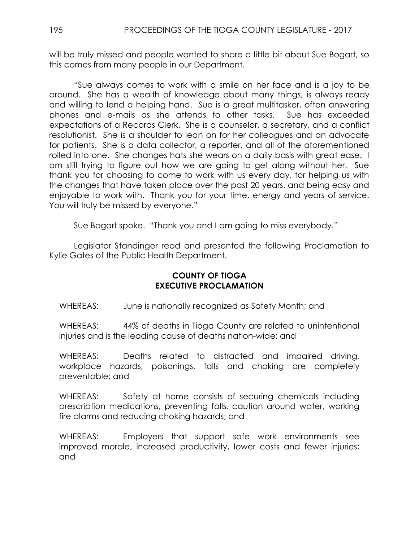will be truly missed and people wanted to share a little bit about Sue Bogart, so this comes from many people in our Department.

"Sue always comes to work with a smile on her face and is a joy to be around. She has a wealth of knowledge about many things, is always ready and willing to lend a helping hand. Sue is a great multitasker, often answering phones and e-mails as she attends to other tasks. Sue has exceeded expectations of a Records Clerk. She is a counselor, a secretary, and a conflict resolutionist. She is a shoulder to lean on for her colleagues and an advocate for patients. She is a data collector, a reporter, and all of the aforementioned rolled into one. She changes hats she wears on a daily basis with great ease. I am still trying to figure out how we are going to get along without her. Sue thank you for choosing to come to work with us every day, for helping us with the changes that have taken place over the past 20 years, and being easy and enjoyable to work with. Thank you for your time, energy and years of service. You will truly be missed by everyone."

Sue Bogart spoke. "Thank you and I am going to miss everybody."

Legislator Standinger read and presented the following Proclamation to Kylie Gates of the Public Health Department.

# **COUNTY OF TIOGA EXECUTIVE PROCLAMATION**

WHEREAS: June is nationally recognized as Safety Month; and

WHEREAS: 44% of deaths in Tioga County are related to unintentional injuries and is the leading cause of deaths nation-wide; and

WHEREAS: Deaths related to distracted and impaired driving, workplace hazards, poisonings, falls and choking are completely preventable; and

WHEREAS: Safety at home consists of securing chemicals including prescription medications, preventing falls, caution around water, working fire alarms and reducing choking hazards; and

WHEREAS: Employers that support safe work environments see improved morale, increased productivity, lower costs and fewer injuries; and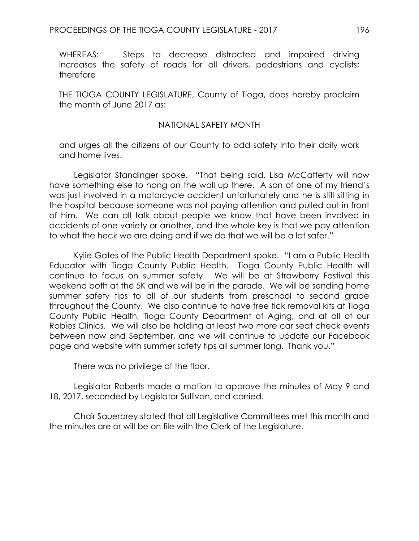WHEREAS: Steps to decrease distracted and impaired driving increases the safety of roads for all drivers, pedestrians and cyclists; therefore

THE TIOGA COUNTY LEGISLATURE, County of Tioga, does hereby proclaim the month of June 2017 as:

#### NATIONAL SAFETY MONTH

and urges all the citizens of our County to add safety into their daily work and home lives.

Legislator Standinger spoke. "That being said, Lisa McCafferty will now have something else to hang on the wall up there. A son of one of my friend's was just involved in a motorcycle accident unfortunately and he is still sitting in the hospital because someone was not paying attention and pulled out in front of him. We can all talk about people we know that have been involved in accidents of one variety or another, and the whole key is that we pay attention to what the heck we are doing and if we do that we will be a lot safer."

Kylie Gates of the Public Health Department spoke. "I am a Public Health Educator with Tioga County Public Health. Tioga County Public Health will continue to focus on summer safety. We will be at Strawberry Festival this weekend both at the 5K and we will be in the parade. We will be sending home summer safety tips to all of our students from preschool to second grade throughout the County. We also continue to have free tick removal kits at Tioga County Public Health, Tioga County Department of Aging, and at all of our Rabies Clinics. We will also be holding at least two more car seat check events between now and September, and we will continue to update our Facebook page and website with summer safety tips all summer long. Thank you."

There was no privilege of the floor.

Legislator Roberts made a motion to approve the minutes of May 9 and 18, 2017, seconded by Legislator Sullivan, and carried.

Chair Sauerbrey stated that all Legislative Committees met this month and the minutes are or will be on file with the Clerk of the Legislature.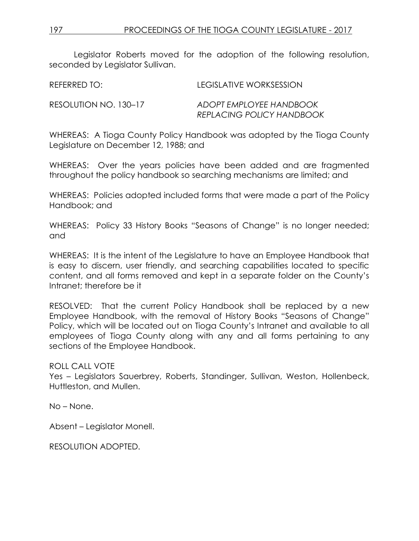Legislator Roberts moved for the adoption of the following resolution, seconded by Legislator Sullivan.

REFERRED TO: LEGISLATIVE WORKSESSION RESOLUTION NO. 130–17 *ADOPT EMPLOYEE HANDBOOK*

*REPLACING POLICY HANDBOOK*

WHEREAS: A Tioga County Policy Handbook was adopted by the Tioga County Legislature on December 12, 1988; and

WHEREAS: Over the years policies have been added and are fragmented throughout the policy handbook so searching mechanisms are limited; and

WHEREAS: Policies adopted included forms that were made a part of the Policy Handbook; and

WHEREAS: Policy 33 History Books "Seasons of Change" is no longer needed; and

WHEREAS: It is the intent of the Legislature to have an Employee Handbook that is easy to discern, user friendly, and searching capabilities located to specific content, and all forms removed and kept in a separate folder on the County's Intranet; therefore be it

RESOLVED: That the current Policy Handbook shall be replaced by a new Employee Handbook, with the removal of History Books "Seasons of Change" Policy, which will be located out on Tioga County's Intranet and available to all employees of Tioga County along with any and all forms pertaining to any sections of the Employee Handbook.

ROLL CALL VOTE

Yes – Legislators Sauerbrey, Roberts, Standinger, Sullivan, Weston, Hollenbeck, Huttleston, and Mullen.

No – None.

Absent – Legislator Monell.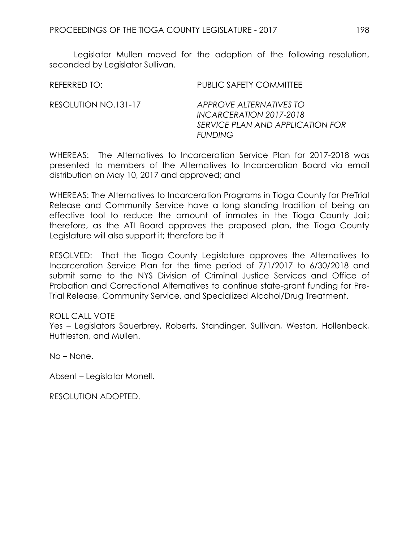Legislator Mullen moved for the adoption of the following resolution, seconded by Legislator Sullivan.

REFERRED TO: PUBLIC SAFETY COMMITTEE RESOLUTION NO.131-17 *APPROVE ALTERNATIVES TO INCARCERATION 2017-2018* 

WHEREAS: The Alternatives to Incarceration Service Plan for 2017-2018 was presented to members of the Alternatives to Incarceration Board via email distribution on May 10, 2017 and approved; and

*FUNDING* 

*SERVICE PLAN AND APPLICATION FOR* 

WHEREAS: The Alternatives to Incarceration Programs in Tioga County for PreTrial Release and Community Service have a long standing tradition of being an effective tool to reduce the amount of inmates in the Tioga County Jail; therefore, as the ATI Board approves the proposed plan, the Tioga County Legislature will also support it; therefore be it

RESOLVED: That the Tioga County Legislature approves the Alternatives to Incarceration Service Plan for the time period of 7/1/2017 to 6/30/2018 and submit same to the NYS Division of Criminal Justice Services and Office of Probation and Correctional Alternatives to continue state-grant funding for Pre-Trial Release, Community Service, and Specialized Alcohol/Drug Treatment.

## ROLL CALL VOTE

Yes – Legislators Sauerbrey, Roberts, Standinger, Sullivan, Weston, Hollenbeck, Huttleston, and Mullen.

No – None.

Absent – Legislator Monell.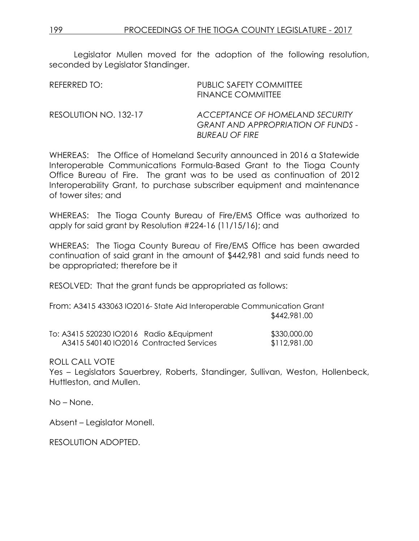Legislator Mullen moved for the adoption of the following resolution, seconded by Legislator Standinger.

| REFERRED TO:          | <b>PUBLIC SAFETY COMMITTEE</b><br><b>FINANCE COMMITTEE</b>                                            |
|-----------------------|-------------------------------------------------------------------------------------------------------|
| RESOLUTION NO. 132-17 | ACCEPTANCE OF HOMELAND SECURITY<br><b>GRANT AND APPROPRIATION OF FUNDS -</b><br><b>BUREAU OF FIRE</b> |

WHEREAS: The Office of Homeland Security announced in 2016 a Statewide Interoperable Communications Formula-Based Grant to the Tioga County Office Bureau of Fire. The grant was to be used as continuation of 2012 Interoperability Grant, to purchase subscriber equipment and maintenance of tower sites; and

WHEREAS: The Tioga County Bureau of Fire/EMS Office was authorized to apply for said grant by Resolution #224-16 (11/15/16); and

WHEREAS: The Tioga County Bureau of Fire/EMS Office has been awarded continuation of said grant in the amount of \$442,981 and said funds need to be appropriated; therefore be it

RESOLVED: That the grant funds be appropriated as follows:

From: A3415 433063 IO2016- State Aid Interoperable Communication Grant \$442,981.00

| To: A3415 520230 IO2016 Radio & Equipment | \$330,000.00 |
|-------------------------------------------|--------------|
| A3415 540140 IO2016 Contracted Services   | \$112,981.00 |

ROLL CALL VOTE

Yes – Legislators Sauerbrey, Roberts, Standinger, Sullivan, Weston, Hollenbeck, Huttleston, and Mullen.

No – None.

Absent – Legislator Monell.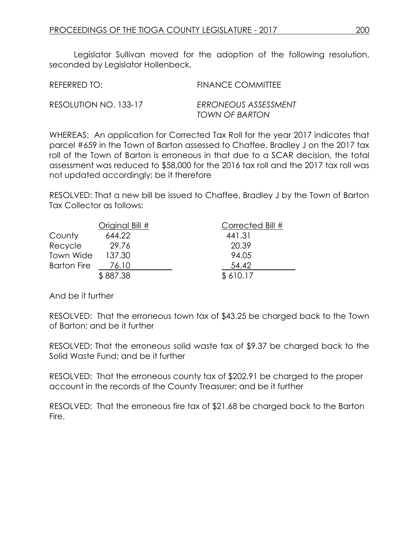Legislator Sullivan moved for the adoption of the following resolution, seconded by Legislator Hollenbeck.

| REFERRED TO:          | <b>FINANCE COMMITTEE</b>               |
|-----------------------|----------------------------------------|
| RESOLUTION NO. 133-17 | ERRONEOUS ASSESSMENT<br>TOWN OF BARTON |

WHEREAS: An application for Corrected Tax Roll for the year 2017 indicates that parcel #659 in the Town of Barton assessed to Chaffee, Bradley J on the 2017 tax roll of the Town of Barton is erroneous in that due to a SCAR decision, the total assessment was reduced to \$58,000 for the 2016 tax roll and the 2017 tax roll was not updated accordingly; be it therefore

RESOLVED: That a new bill be issued to Chaffee, Bradley J by the Town of Barton Tax Collector as follows:

|                    | Original Bill # | Corrected Bill # |
|--------------------|-----------------|------------------|
| County             | 644.22          | 441.31           |
| Recycle            | 29.76           | 20.39            |
| Town Wide          | 137.30          | 94.05            |
| <b>Barton Fire</b> | 76.10           | 54.42            |
|                    | \$887.38        | \$610.17         |

And be it further

RESOLVED: That the erroneous town tax of \$43.25 be charged back to the Town of Barton; and be it further

RESOLVED: That the erroneous solid waste tax of \$9.37 be charged back to the Solid Waste Fund; and be it further

RESOLVED: That the erroneous county tax of \$202.91 be charged to the proper account in the records of the County Treasurer; and be it further

RESOLVED: That the erroneous fire tax of \$21.68 be charged back to the Barton Fire.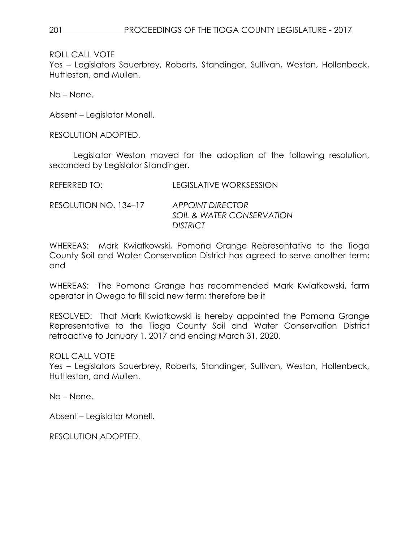Yes – Legislators Sauerbrey, Roberts, Standinger, Sullivan, Weston, Hollenbeck, Huttleston, and Mullen.

No – None.

Absent – Legislator Monell.

RESOLUTION ADOPTED.

Legislator Weston moved for the adoption of the following resolution, seconded by Legislator Standinger.

| <b>REFERRED TO:</b> | <b>LEGISLATIVE WORKSESSION</b> |
|---------------------|--------------------------------|

RESOLUTION NO. 134–17 *APPOINT DIRECTOR SOIL & WATER CONSERVATION DISTRICT*

WHEREAS: Mark Kwiatkowski, Pomona Grange Representative to the Tioga County Soil and Water Conservation District has agreed to serve another term; and

WHEREAS: The Pomona Grange has recommended Mark Kwiatkowski, farm operator in Owego to fill said new term; therefore be it

RESOLVED: That Mark Kwiatkowski is hereby appointed the Pomona Grange Representative to the Tioga County Soil and Water Conservation District retroactive to January 1, 2017 and ending March 31, 2020.

ROLL CALL VOTE

Yes – Legislators Sauerbrey, Roberts, Standinger, Sullivan, Weston, Hollenbeck, Huttleston, and Mullen.

No – None.

Absent – Legislator Monell.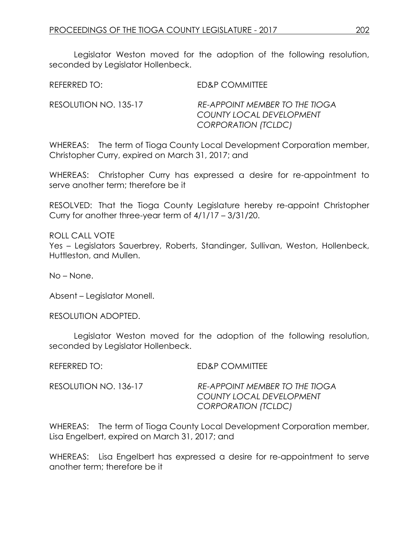Legislator Weston moved for the adoption of the following resolution, seconded by Legislator Hollenbeck.

REFERRED TO: ED&P COMMITTEE

RESOLUTION NO. 135-17 *RE-APPOINT MEMBER TO THE TIOGA COUNTY LOCAL DEVELOPMENT CORPORATION (TCLDC)*

WHEREAS: The term of Tioga County Local Development Corporation member, Christopher Curry, expired on March 31, 2017; and

WHEREAS: Christopher Curry has expressed a desire for re-appointment to serve another term; therefore be it

RESOLVED: That the Tioga County Legislature hereby re-appoint Christopher Curry for another three-year term of 4/1/17 – 3/31/20.

ROLL CALL VOTE Yes – Legislators Sauerbrey, Roberts, Standinger, Sullivan, Weston, Hollenbeck, Huttleston, and Mullen.

No – None.

Absent – Legislator Monell.

RESOLUTION ADOPTED.

Legislator Weston moved for the adoption of the following resolution, seconded by Legislator Hollenbeck.

REFERRED TO: ED&P COMMITTEE

RESOLUTION NO. 136-17 *RE-APPOINT MEMBER TO THE TIOGA COUNTY LOCAL DEVELOPMENT CORPORATION (TCLDC)*

WHEREAS: The term of Tioga County Local Development Corporation member, Lisa Engelbert, expired on March 31, 2017; and

WHEREAS: Lisa Engelbert has expressed a desire for re-appointment to serve another term; therefore be it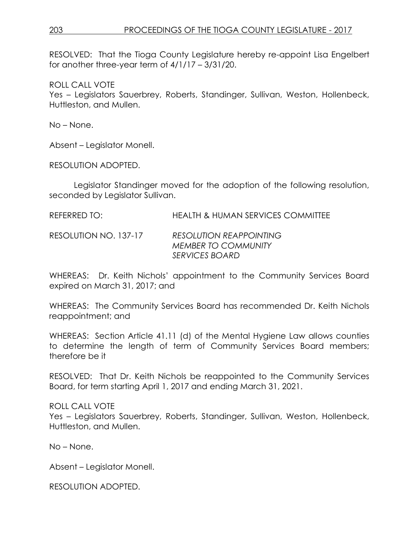## 203 PROCEEDINGS OF THE TIOGA COUNTY LEGISLATURE - 2017

RESOLVED: That the Tioga County Legislature hereby re-appoint Lisa Engelbert for another three-year term of 4/1/17 – 3/31/20.

ROLL CALL VOTE

Yes – Legislators Sauerbrey, Roberts, Standinger, Sullivan, Weston, Hollenbeck, Huttleston, and Mullen.

No – None.

Absent – Legislator Monell.

RESOLUTION ADOPTED.

Legislator Standinger moved for the adoption of the following resolution, seconded by Legislator Sullivan.

REFERRED TO: HEALTH & HUMAN SERVICES COMMITTEE

RESOLUTION NO. 137-17 *RESOLUTION REAPPOINTING MEMBER TO COMMUNITY SERVICES BOARD*

WHEREAS: Dr. Keith Nichols' appointment to the Community Services Board expired on March 31, 2017; and

WHEREAS: The Community Services Board has recommended Dr. Keith Nichols reappointment; and

WHEREAS: Section Article 41.11 (d) of the Mental Hygiene Law allows counties to determine the length of term of Community Services Board members; therefore be it

RESOLVED: That Dr. Keith Nichols be reappointed to the Community Services Board, for term starting April 1, 2017 and ending March 31, 2021.

## ROLL CALL VOTE

Yes – Legislators Sauerbrey, Roberts, Standinger, Sullivan, Weston, Hollenbeck, Huttleston, and Mullen.

No – None.

Absent – Legislator Monell.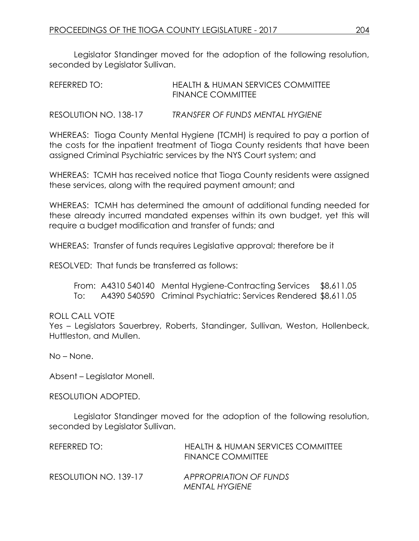Legislator Standinger moved for the adoption of the following resolution, seconded by Legislator Sullivan.

| REFERRED TO: | <b>HEALTH &amp; HUMAN SERVICES COMMITTEE</b> |
|--------------|----------------------------------------------|
|              | <b>FINANCE COMMITTEE</b>                     |
|              |                                              |

RESOLUTION NO. 138-17 *TRANSFER OF FUNDS MENTAL HYGIENE*

WHEREAS: Tioga County Mental Hygiene (TCMH) is required to pay a portion of the costs for the inpatient treatment of Tioga County residents that have been assigned Criminal Psychiatric services by the NYS Court system; and

WHEREAS: TCMH has received notice that Tioga County residents were assigned these services, along with the required payment amount; and

WHEREAS: TCMH has determined the amount of additional funding needed for these already incurred mandated expenses within its own budget, yet this will require a budget modification and transfer of funds; and

WHEREAS: Transfer of funds requires Legislative approval; therefore be it

RESOLVED: That funds be transferred as follows:

From: A4310 540140 Mental Hygiene-Contracting Services \$8,611.05 To: A4390 540590 Criminal Psychiatric: Services Rendered \$8,611.05

## ROLL CALL VOTE

Yes – Legislators Sauerbrey, Roberts, Standinger, Sullivan, Weston, Hollenbeck, Huttleston, and Mullen.

No – None.

Absent – Legislator Monell.

RESOLUTION ADOPTED.

Legislator Standinger moved for the adoption of the following resolution, seconded by Legislator Sullivan.

| REFERRED TO:          | <b>HEALTH &amp; HUMAN SERVICES COMMITTEE</b><br><b>FINANCE COMMITTEE</b> |
|-----------------------|--------------------------------------------------------------------------|
| RESOLUTION NO. 139-17 | APPROPRIATION OF FUNDS<br><b>MENTAL HYGIENE</b>                          |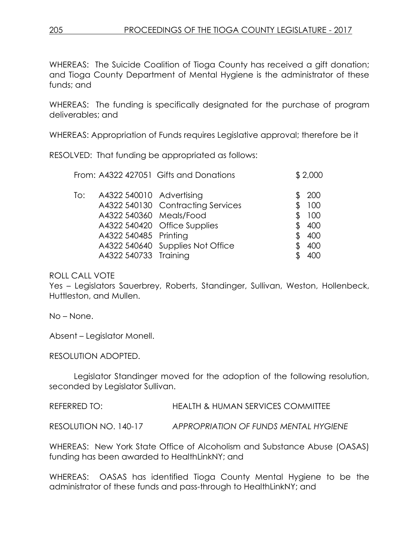WHEREAS: The Suicide Coalition of Tioga County has received a gift donation; and Tioga County Department of Mental Hygiene is the administrator of these funds; and

WHEREAS: The funding is specifically designated for the purchase of program deliverables; and

WHEREAS: Appropriation of Funds requires Legislative approval; therefore be it

RESOLVED: That funding be appropriated as follows:

| \$2,000 |
|---------|
| 200     |
| 100     |
| 100     |
| 400     |
| 400     |
| 400     |
|         |
|         |

## ROLL CALL VOTE

Yes – Legislators Sauerbrey, Roberts, Standinger, Sullivan, Weston, Hollenbeck, Huttleston, and Mullen.

No – None.

Absent – Legislator Monell.

RESOLUTION ADOPTED.

Legislator Standinger moved for the adoption of the following resolution, seconded by Legislator Sullivan.

REFERRED TO: HEALTH & HUMAN SERVICES COMMITTEE

RESOLUTION NO. 140-17 *APPROPRIATION OF FUNDS MENTAL HYGIENE*

WHEREAS: New York State Office of Alcoholism and Substance Abuse (OASAS) funding has been awarded to HealthLinkNY; and

WHEREAS: OASAS has identified Tioga County Mental Hygiene to be the administrator of these funds and pass-through to HealthLinkNY; and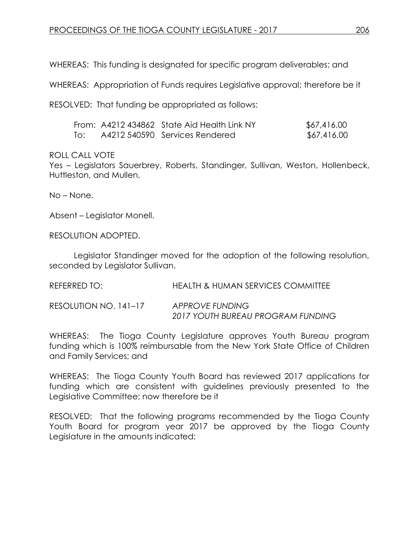WHEREAS: This funding is designated for specific program deliverables; and

WHEREAS: Appropriation of Funds requires Legislative approval; therefore be it

RESOLVED: That funding be appropriated as follows:

|     | From: A4212 434862 State Aid Health Link NY | \$67,416.00 |
|-----|---------------------------------------------|-------------|
| To: | A4212 540590 Services Rendered              | \$67,416.00 |

#### ROLL CALL VOTE

Yes – Legislators Sauerbrey, Roberts, Standinger, Sullivan, Weston, Hollenbeck, Huttleston, and Mullen.

No – None.

Absent – Legislator Monell.

RESOLUTION ADOPTED.

Legislator Standinger moved for the adoption of the following resolution, seconded by Legislator Sullivan.

REFERRED TO: HEALTH & HUMAN SERVICES COMMITTEE

RESOLUTION NO. 141–17 *APPROVE FUNDING 2017 YOUTH BUREAU PROGRAM FUNDING*

WHEREAS: The Tioga County Legislature approves Youth Bureau program funding which is 100% reimbursable from the New York State Office of Children and Family Services; and

WHEREAS: The Tioga County Youth Board has reviewed 2017 applications for funding which are consistent with guidelines previously presented to the Legislative Committee; now therefore be it

RESOLVED: That the following programs recommended by the Tioga County Youth Board for program year 2017 be approved by the Tioga County Legislature in the amounts indicated: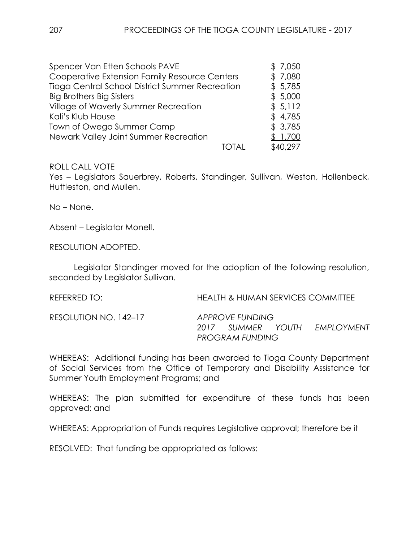| Spencer Van Etten Schools PAVE                  |  | \$7,050  |
|-------------------------------------------------|--|----------|
| Cooperative Extension Family Resource Centers   |  | \$7,080  |
| Tioga Central School District Summer Recreation |  | \$5,785  |
| <b>Big Brothers Big Sisters</b>                 |  | \$5,000  |
| Village of Waverly Summer Recreation            |  | \$5,112  |
| Kali's Klub House                               |  | \$4,785  |
| Town of Owego Summer Camp                       |  | \$3,785  |
| Newark Valley Joint Summer Recreation           |  | \$ 1,700 |
|                                                 |  | \$40,297 |

Yes – Legislators Sauerbrey, Roberts, Standinger, Sullivan, Weston, Hollenbeck, Huttleston, and Mullen.

No – None.

Absent – Legislator Monell.

RESOLUTION ADOPTED.

Legislator Standinger moved for the adoption of the following resolution, seconded by Legislator Sullivan.

REFERRED TO: HEALTH & HUMAN SERVICES COMMITTEE

RESOLUTION NO. 142–17 *APPROVE FUNDING*

*2017 SUMMER YOUTH EMPLOYMENT PROGRAM FUNDING*

WHEREAS: Additional funding has been awarded to Tioga County Department of Social Services from the Office of Temporary and Disability Assistance for Summer Youth Employment Programs; and

WHEREAS: The plan submitted for expenditure of these funds has been approved; and

WHEREAS: Appropriation of Funds requires Legislative approval; therefore be it

RESOLVED: That funding be appropriated as follows: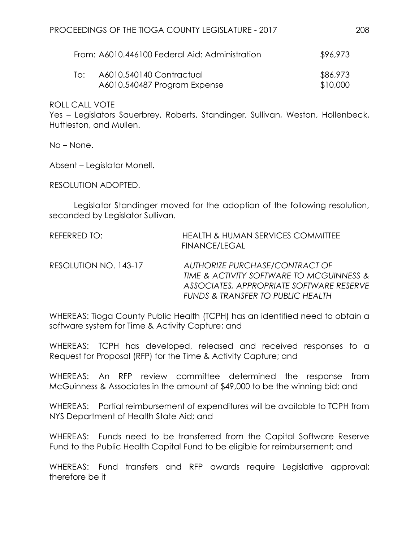| From: A6010.446100 Federal Aid: Administration |                                                          |                      |
|------------------------------------------------|----------------------------------------------------------|----------------------|
| To:                                            | A6010.540140 Contractual<br>A6010.540487 Program Expense | \$86,973<br>\$10,000 |

Yes – Legislators Sauerbrey, Roberts, Standinger, Sullivan, Weston, Hollenbeck, Huttleston, and Mullen.

No – None.

Absent – Legislator Monell.

RESOLUTION ADOPTED.

Legislator Standinger moved for the adoption of the following resolution, seconded by Legislator Sullivan.

| REFERRED TO:          | <b>HEALTH &amp; HUMAN SERVICES COMMITTEE</b><br><b>FINANCE/LEGAL</b>                                                                                                   |
|-----------------------|------------------------------------------------------------------------------------------------------------------------------------------------------------------------|
| RESOLUTION NO. 143-17 | AUTHORIZE PURCHASE/CONTRACT OF<br>TIME & ACTIVITY SOFTWARE TO MCGUINNESS &<br>ASSOCIATES, APPROPRIATE SOFTWARE RESERVE<br><b>FUNDS &amp; TRANSFER TO PUBLIC HEALTH</b> |

WHEREAS: Tioga County Public Health (TCPH) has an identified need to obtain a software system for Time & Activity Capture; and

WHEREAS: TCPH has developed, released and received responses to a Request for Proposal (RFP) for the Time & Activity Capture; and

WHEREAS: An RFP review committee determined the response from McGuinness & Associates in the amount of \$49,000 to be the winning bid; and

WHEREAS: Partial reimbursement of expenditures will be available to TCPH from NYS Department of Health State Aid; and

WHEREAS: Funds need to be transferred from the Capital Software Reserve Fund to the Public Health Capital Fund to be eligible for reimbursement; and

WHEREAS: Fund transfers and RFP awards require Legislative approval; therefore be it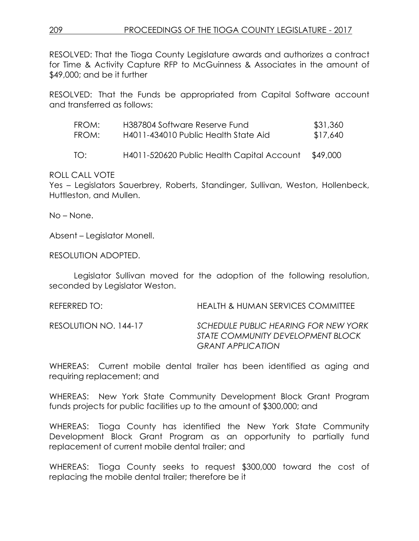RESOLVED: That the Tioga County Legislature awards and authorizes a contract for Time & Activity Capture RFP to McGuinness & Associates in the amount of \$49,000; and be it further

RESOLVED: That the Funds be appropriated from Capital Software account and transferred as follows:

| FROM: | H387804 Software Reserve Fund        | \$31,360 |
|-------|--------------------------------------|----------|
| FROM: | H4011-434010 Public Health State Aid | \$17,640 |
|       |                                      |          |

TO: H4011-520620 Public Health Capital Account \$49,000

ROLL CALL VOTE

Yes – Legislators Sauerbrey, Roberts, Standinger, Sullivan, Weston, Hollenbeck, Huttleston, and Mullen.

No – None.

Absent – Legislator Monell.

RESOLUTION ADOPTED.

Legislator Sullivan moved for the adoption of the following resolution, seconded by Legislator Weston.

REFERRED TO: HEALTH & HUMAN SERVICES COMMITTEE

RESOLUTION NO. 144-17 *SCHEDULE PUBLIC HEARING FOR NEW YORK STATE COMMUNITY DEVELOPMENT BLOCK GRANT APPLICATION*

WHEREAS: Current mobile dental trailer has been identified as aging and requiring replacement; and

WHEREAS: New York State Community Development Block Grant Program funds projects for public facilities up to the amount of \$300,000; and

WHEREAS: Tioga County has identified the New York State Community Development Block Grant Program as an opportunity to partially fund replacement of current mobile dental trailer; and

WHEREAS: Tioga County seeks to request \$300,000 toward the cost of replacing the mobile dental trailer; therefore be it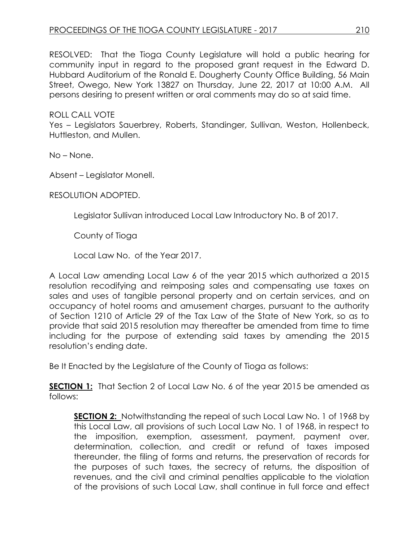RESOLVED: That the Tioga County Legislature will hold a public hearing for community input in regard to the proposed grant request in the Edward D. Hubbard Auditorium of the Ronald E. Dougherty County Office Building, 56 Main Street, Owego, New York 13827 on Thursday, June 22, 2017 at 10:00 A.M. All persons desiring to present written or oral comments may do so at said time.

ROLL CALL VOTE

Yes – Legislators Sauerbrey, Roberts, Standinger, Sullivan, Weston, Hollenbeck, Huttleston, and Mullen.

No – None.

Absent – Legislator Monell.

RESOLUTION ADOPTED.

Legislator Sullivan introduced Local Law Introductory No. B of 2017.

County of Tioga

Local Law No. of the Year 2017.

A Local Law amending Local Law 6 of the year 2015 which authorized a 2015 resolution recodifying and reimposing sales and compensating use taxes on sales and uses of tangible personal property and on certain services, and on occupancy of hotel rooms and amusement charges, pursuant to the authority of Section 1210 of Article 29 of the Tax Law of the State of New York, so as to provide that said 2015 resolution may thereafter be amended from time to time including for the purpose of extending said taxes by amending the 2015 resolution's ending date.

Be It Enacted by the Legislature of the County of Tioga as follows:

**SECTION 1:** That Section 2 of Local Law No. 6 of the year 2015 be amended as follows:

**SECTION 2:** Notwithstanding the repeal of such Local Law No. 1 of 1968 by this Local Law, all provisions of such Local Law No. 1 of 1968, in respect to the imposition, exemption, assessment, payment, payment over, determination, collection, and credit or refund of taxes imposed thereunder, the filing of forms and returns, the preservation of records for the purposes of such taxes, the secrecy of returns, the disposition of revenues, and the civil and criminal penalties applicable to the violation of the provisions of such Local Law, shall continue in full force and effect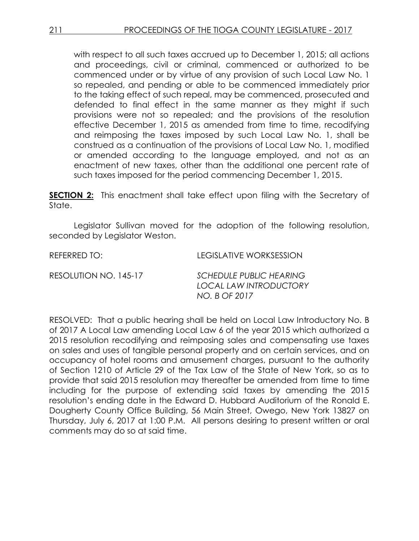with respect to all such taxes accrued up to December 1, 2015; all actions and proceedings, civil or criminal, commenced or authorized to be commenced under or by virtue of any provision of such Local Law No. 1 so repealed, and pending or able to be commenced immediately prior to the taking effect of such repeal, may be commenced, prosecuted and defended to final effect in the same manner as they might if such provisions were not so repealed; and the provisions of the resolution effective December 1, 2015 as amended from time to time, recodifying and reimposing the taxes imposed by such Local Law No. 1, shall be construed as a continuation of the provisions of Local Law No. 1, modified or amended according to the language employed, and not as an enactment of new taxes, other than the additional one percent rate of such taxes imposed for the period commencing December 1, 2015.

**SECTION 2:** This enactment shall take effect upon filing with the Secretary of State.

Legislator Sullivan moved for the adoption of the following resolution, seconded by Legislator Weston.

REFERRED TO: LEGISLATIVE WORKSESSION

RESOLUTION NO. 145-17 *SCHEDULE PUBLIC HEARING LOCAL LAW INTRODUCTORY NO. B OF 2017*

RESOLVED: That a public hearing shall be held on Local Law Introductory No. B of 2017 A Local Law amending Local Law 6 of the year 2015 which authorized a 2015 resolution recodifying and reimposing sales and compensating use taxes on sales and uses of tangible personal property and on certain services, and on occupancy of hotel rooms and amusement charges, pursuant to the authority of Section 1210 of Article 29 of the Tax Law of the State of New York, so as to provide that said 2015 resolution may thereafter be amended from time to time including for the purpose of extending said taxes by amending the 2015 resolution's ending date in the Edward D. Hubbard Auditorium of the Ronald E. Dougherty County Office Building, 56 Main Street, Owego, New York 13827 on Thursday, July 6, 2017 at 1:00 P.M. All persons desiring to present written or oral comments may do so at said time.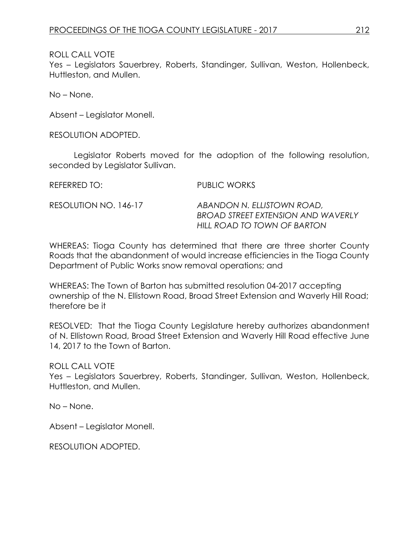Yes – Legislators Sauerbrey, Roberts, Standinger, Sullivan, Weston, Hollenbeck, Huttleston, and Mullen.

No – None.

Absent – Legislator Monell.

RESOLUTION ADOPTED.

Legislator Roberts moved for the adoption of the following resolution, seconded by Legislator Sullivan.

REFERRED TO: PUBLIC WORKS RESOLUTION NO. 146-17 *ABANDON N. ELLISTOWN ROAD, BROAD STREET EXTENSION AND WAVERLY HILL ROAD TO TOWN OF BARTON*

WHEREAS: Tioga County has determined that there are three shorter County Roads that the abandonment of would increase efficiencies in the Tioga County Department of Public Works snow removal operations; and

WHEREAS: The Town of Barton has submitted resolution 04-2017 accepting ownership of the N. Ellistown Road, Broad Street Extension and Waverly Hill Road; therefore be it

RESOLVED: That the Tioga County Legislature hereby authorizes abandonment of N. Ellistown Road, Broad Street Extension and Waverly Hill Road effective June 14, 2017 to the Town of Barton.

## ROLL CALL VOTE

Yes – Legislators Sauerbrey, Roberts, Standinger, Sullivan, Weston, Hollenbeck, Huttleston, and Mullen.

No – None.

Absent – Legislator Monell.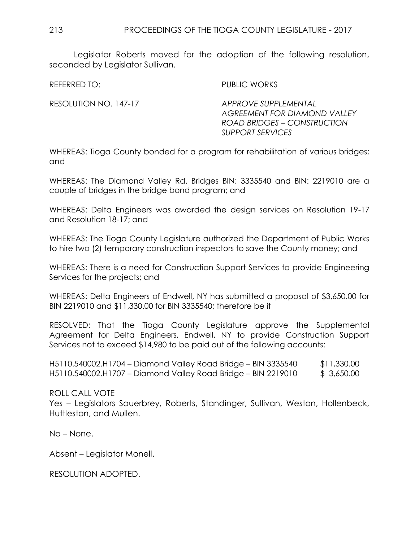Legislator Roberts moved for the adoption of the following resolution, seconded by Leaislator Sullivan.

REFERRED TO: PUBLIC WORKS

RESOLUTION NO. 147-17 *APPROVE SUPPLEMENTAL AGREEMENT FOR DIAMOND VALLEY ROAD BRIDGES – CONSTRUCTION SUPPORT SERVICES* 

WHEREAS: Tioga County bonded for a program for rehabilitation of various bridges; and

WHEREAS: The Diamond Valley Rd. Bridges BIN: 3335540 and BIN: 2219010 are a couple of bridges in the bridge bond program; and

WHEREAS: Delta Engineers was awarded the design services on Resolution 19-17 and Resolution 18-17; and

WHEREAS: The Tioga County Legislature authorized the Department of Public Works to hire two (2) temporary construction inspectors to save the County money; and

WHEREAS: There is a need for Construction Support Services to provide Engineering Services for the projects; and

WHEREAS: Delta Engineers of Endwell, NY has submitted a proposal of \$3,650.00 for BIN 2219010 and \$11,330.00 for BIN 3335540; therefore be it

RESOLVED: That the Tioga County Legislature approve the Supplemental Agreement for Delta Engineers, Endwell, NY to provide Construction Support Services not to exceed \$14,980 to be paid out of the following accounts:

H5110.540002.H1704 – Diamond Valley Road Bridge – BIN 3335540 \$11,330.00 H5110.540002.H1707 – Diamond Valley Road Bridge – BIN 2219010 \$ 3,650.00

ROLL CALL VOTE Yes – Legislators Sauerbrey, Roberts, Standinger, Sullivan, Weston, Hollenbeck, Huttleston, and Mullen.

No – None.

Absent – Legislator Monell.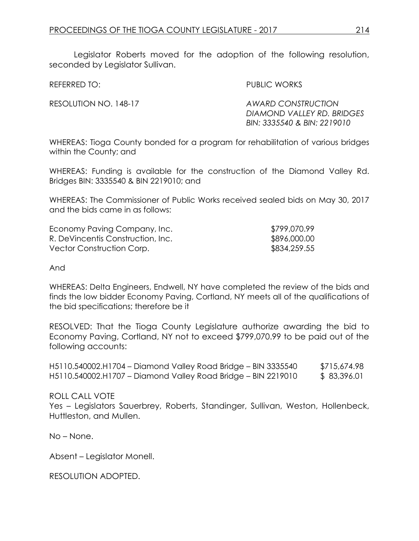Legislator Roberts moved for the adoption of the following resolution, seconded by Leaislator Sullivan.

REFERRED TO: PUBLIC WORKS

RESOLUTION NO. 148-17 *AWARD CONSTRUCTION DIAMOND VALLEY RD. BRIDGES BIN: 3335540 & BIN: 2219010* 

WHEREAS: Tioga County bonded for a program for rehabilitation of various bridges within the County; and

WHEREAS: Funding is available for the construction of the Diamond Valley Rd. Bridges BIN: 3335540 & BIN 2219010; and

WHEREAS: The Commissioner of Public Works received sealed bids on May 30, 2017 and the bids came in as follows:

| Economy Paving Company, Inc.      | \$799,070.99 |
|-----------------------------------|--------------|
| R. DeVincentis Construction, Inc. | \$896,000.00 |
| Vector Construction Corp.         | \$834,259.55 |

And

WHEREAS: Delta Engineers, Endwell, NY have completed the review of the bids and finds the low bidder Economy Paving, Cortland, NY meets all of the qualifications of the bid specifications; therefore be it

RESOLVED: That the Tioga County Legislature authorize awarding the bid to Economy Paving, Cortland, NY not to exceed \$799,070.99 to be paid out of the following accounts:

H5110.540002.H1704 – Diamond Valley Road Bridge – BIN 3335540 \$715,674.98 H5110.540002.H1707 – Diamond Valley Road Bridge – BIN 2219010 \$ 83,396.01

ROLL CALL VOTE Yes – Legislators Sauerbrey, Roberts, Standinger, Sullivan, Weston, Hollenbeck, Huttleston, and Mullen.

No – None.

Absent – Legislator Monell.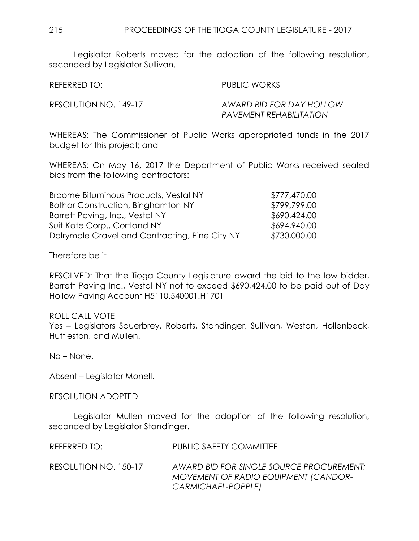Legislator Roberts moved for the adoption of the following resolution, seconded by Legislator Sullivan.

REFERRED TO: PUBLIC WORKS

RESOLUTION NO. 149-17 *AWARD BID FOR DAY HOLLOW PAVEMENT REHABILITATION* 

WHEREAS: The Commissioner of Public Works appropriated funds in the 2017 budget for this project; and

WHEREAS: On May 16, 2017 the Department of Public Works received sealed bids from the following contractors:

| Broome Bituminous Products, Vestal NY          | \$777,470.00 |
|------------------------------------------------|--------------|
| Bothar Construction, Binghamton NY             | \$799,799.00 |
| Barrett Paving, Inc., Vestal NY                | \$690,424.00 |
| Suit-Kote Corp., Cortland NY                   | \$694,940.00 |
| Dalrymple Gravel and Contracting, Pine City NY | \$730,000.00 |

Therefore be it

RESOLVED: That the Tioga County Legislature award the bid to the low bidder, Barrett Paving Inc., Vestal NY not to exceed \$690,424.00 to be paid out of Day Hollow Paving Account H5110.540001.H1701

ROLL CALL VOTE Yes – Legislators Sauerbrey, Roberts, Standinger, Sullivan, Weston, Hollenbeck, Huttleston, and Mullen.

No – None.

Absent – Legislator Monell.

RESOLUTION ADOPTED.

Legislator Mullen moved for the adoption of the following resolution, seconded by Legislator Standinger.

REFERRED TO: PUBLIC SAFETY COMMITTEE

RESOLUTION NO. 150-17 *AWARD BID FOR SINGLE SOURCE PROCUREMENT; MOVEMENT OF RADIO EQUIPMENT (CANDOR-CARMICHAEL-POPPLE)*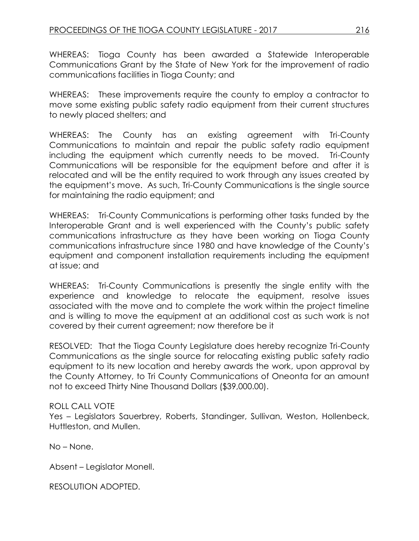WHEREAS: Tioga County has been awarded a Statewide Interoperable Communications Grant by the State of New York for the improvement of radio communications facilities in Tioga County; and

WHEREAS: These improvements require the county to employ a contractor to move some existing public safety radio equipment from their current structures to newly placed shelters; and

WHEREAS: The County has an existing agreement with Tri-County Communications to maintain and repair the public safety radio equipment including the equipment which currently needs to be moved. Tri-County Communications will be responsible for the equipment before and after it is relocated and will be the entity required to work through any issues created by the equipment's move. As such, Tri-County Communications is the single source for maintaining the radio equipment; and

WHEREAS: Tri-County Communications is performing other tasks funded by the Interoperable Grant and is well experienced with the County's public safety communications infrastructure as they have been working on Tioga County communications infrastructure since 1980 and have knowledge of the County's equipment and component installation requirements including the equipment at issue; and

WHEREAS: Tri-County Communications is presently the single entity with the experience and knowledge to relocate the equipment, resolve issues associated with the move and to complete the work within the project timeline and is willing to move the equipment at an additional cost as such work is not covered by their current agreement; now therefore be it

RESOLVED: That the Tioga County Legislature does hereby recognize Tri-County Communications as the single source for relocating existing public safety radio equipment to its new location and hereby awards the work, upon approval by the County Attorney, to Tri County Communications of Oneonta for an amount not to exceed Thirty Nine Thousand Dollars (\$39,000.00).

# ROLL CALL VOTE

Yes – Legislators Sauerbrey, Roberts, Standinger, Sullivan, Weston, Hollenbeck, Huttleston, and Mullen.

No – None.

Absent – Legislator Monell.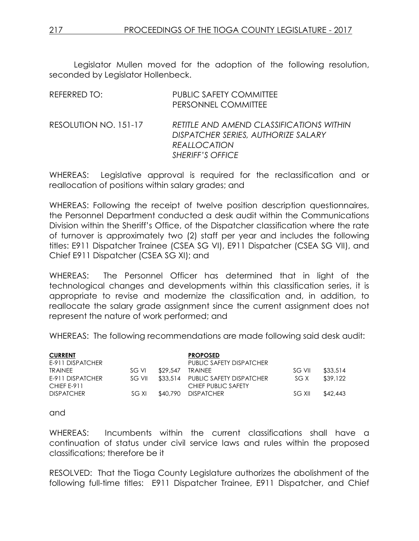Legislator Mullen moved for the adoption of the following resolution, seconded by Legislator Hollenbeck.

| REFERRED TO:          | <b>PUBLIC SAFETY COMMITTEE</b><br>PERSONNEL COMMITTEE                                                                             |
|-----------------------|-----------------------------------------------------------------------------------------------------------------------------------|
| RESOLUTION NO. 151-17 | RETITLE AND AMEND CLASSIFICATIONS WITHIN<br>DISPATCHER SERIES, AUTHORIZE SALARY<br><b>REALLOCATION</b><br><b>SHERIFF'S OFFICE</b> |

WHEREAS: Legislative approval is required for the reclassification and or reallocation of positions within salary grades; and

WHEREAS: Following the receipt of twelve position description questionnaires, the Personnel Department conducted a desk audit within the Communications Division within the Sheriff's Office, of the Dispatcher classification where the rate of turnover is approximately two (2) staff per year and includes the following titles: E911 Dispatcher Trainee (CSEA SG VI), E911 Dispatcher (CSEA SG VII), and Chief E911 Dispatcher (CSEA SG XI); and

WHEREAS: The Personnel Officer has determined that in light of the technological changes and developments within this classification series, it is appropriate to revise and modernize the classification and, in addition, to reallocate the salary grade assignment since the current assignment does not represent the nature of work performed; and

WHEREAS: The following recommendations are made following said desk audit:

| <b>CURRENT</b><br>E-911 DISPATCHER |        |          | <b>PROPOSED</b><br><b>PUBLIC SAFETY DISPATCHER</b>       |        |          |
|------------------------------------|--------|----------|----------------------------------------------------------|--------|----------|
| <b>TRAINEE</b>                     | SG VI  | \$29.547 | <b>TRAINEE</b>                                           | SG VII | \$33.514 |
| E-911 DISPATCHER<br>CHIEF E-911    | SG VII |          | \$33,514 PUBLIC SAFETY DISPATCHER<br>CHIEF PUBLIC SAFETY | SG X   | \$39,122 |
| <b>DISPATCHER</b>                  | SG XI  |          | \$40,790 DISPATCHER                                      | SG XII | \$42,443 |

and

WHEREAS: Incumbents within the current classifications shall have a continuation of status under civil service laws and rules within the proposed classifications; therefore be it

RESOLVED: That the Tioga County Legislature authorizes the abolishment of the following full-time titles: E911 Dispatcher Trainee, E911 Dispatcher, and Chief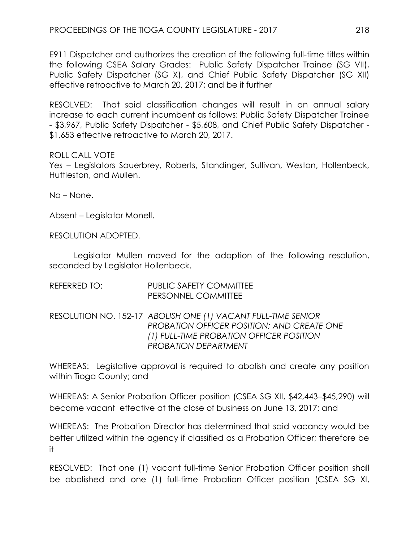E911 Dispatcher and authorizes the creation of the following full-time titles within the following CSEA Salary Grades: Public Safety Dispatcher Trainee (SG VII), Public Safety Dispatcher (SG X), and Chief Public Safety Dispatcher (SG XII) effective retroactive to March 20, 2017; and be it further

RESOLVED: That said classification changes will result in an annual salary increase to each current incumbent as follows: Public Safety Dispatcher Trainee - \$3,967, Public Safety Dispatcher - \$5,608, and Chief Public Safety Dispatcher - \$1,653 effective retroactive to March 20, 2017.

#### ROLL CALL VOTE

Yes – Legislators Sauerbrey, Roberts, Standinger, Sullivan, Weston, Hollenbeck, Huttleston, and Mullen.

No – None.

Absent – Legislator Monell.

RESOLUTION ADOPTED.

Legislator Mullen moved for the adoption of the following resolution, seconded by Legislator Hollenbeck.

| <b>PUBLIC SAFETY COMMITTEE</b> |
|--------------------------------|
| <b>PERSONNEL COMMITTEE</b>     |
|                                |

RESOLUTION NO. 152-17 *ABOLISH ONE (1) VACANT FULL-TIME SENIOR PROBATION OFFICER POSITION; AND CREATE ONE (1) FULL-TIME PROBATION OFFICER POSITION PROBATION DEPARTMENT* 

WHEREAS: Legislative approval is required to abolish and create any position within Tioga County; and

WHEREAS: A Senior Probation Officer position (CSEA SG XII, \$42,443–\$45,290) will become vacant effective at the close of business on June 13, 2017; and

WHEREAS: The Probation Director has determined that said vacancy would be better utilized within the agency if classified as a Probation Officer; therefore be it

RESOLVED: That one (1) vacant full-time Senior Probation Officer position shall be abolished and one (1) full-time Probation Officer position (CSEA SG XI,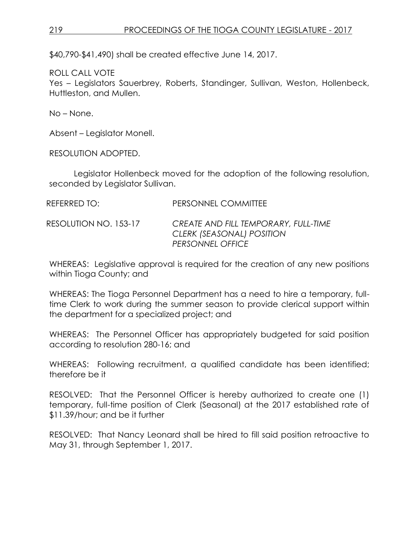\$40,790-\$41,490) shall be created effective June 14, 2017.

ROLL CALL VOTE

Yes – Legislators Sauerbrey, Roberts, Standinger, Sullivan, Weston, Hollenbeck, Huttleston, and Mullen.

No – None.

Absent – Legislator Monell.

RESOLUTION ADOPTED.

Legislator Hollenbeck moved for the adoption of the following resolution, seconded by Legislator Sullivan.

REFERRED TO: PERSONNEL COMMITTEE

RESOLUTION NO. 153-17 *CREATE AND FILL TEMPORARY, FULL-TIME CLERK (SEASONAL) POSITION PERSONNEL OFFICE* 

WHEREAS: Legislative approval is required for the creation of any new positions within Tioga County; and

WHEREAS: The Tioga Personnel Department has a need to hire a temporary, fulltime Clerk to work during the summer season to provide clerical support within the department for a specialized project; and

WHEREAS: The Personnel Officer has appropriately budgeted for said position according to resolution 280-16; and

WHEREAS: Following recruitment, a qualified candidate has been identified; therefore be it

RESOLVED: That the Personnel Officer is hereby authorized to create one (1) temporary, full-time position of Clerk (Seasonal) at the 2017 established rate of \$11.39/hour; and be it further

RESOLVED: That Nancy Leonard shall be hired to fill said position retroactive to May 31, through September 1, 2017.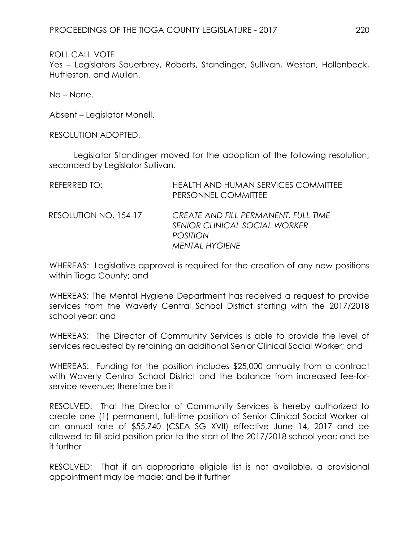Yes – Legislators Sauerbrey, Roberts, Standinger, Sullivan, Weston, Hollenbeck, Huttleston, and Mullen.

No – None.

Absent – Legislator Monell.

RESOLUTION ADOPTED.

Legislator Standinger moved for the adoption of the following resolution, seconded by Legislator Sullivan.

| REFERRED TO:          | <b>HEALTH AND HUMAN SERVICES COMMITTEE</b><br>PERSONNEL COMMITTEE                                                 |
|-----------------------|-------------------------------------------------------------------------------------------------------------------|
| RESOLUTION NO. 154-17 | CREATE AND FILL PERMANENT, FULL-TIME<br>SENIOR CLINICAL SOCIAL WORKER<br><b>POSITION</b><br><b>MENTAL HYGIENE</b> |

WHEREAS: Legislative approval is required for the creation of any new positions within Tioga County; and

WHEREAS: The Mental Hygiene Department has received a request to provide services from the Waverly Central School District starting with the 2017/2018 school year; and

WHEREAS: The Director of Community Services is able to provide the level of services requested by retaining an additional Senior Clinical Social Worker; and

WHEREAS: Funding for the position includes \$25,000 annually from a contract with Waverly Central School District and the balance from increased fee-forservice revenue; therefore be it

RESOLVED: That the Director of Community Services is hereby authorized to create one (1) permanent, full-time position of Senior Clinical Social Worker at an annual rate of \$55,740 (CSEA SG XVII) effective June 14, 2017 and be allowed to fill said position prior to the start of the 2017/2018 school year; and be it further

RESOLVED: That if an appropriate eligible list is not available, a provisional appointment may be made; and be it further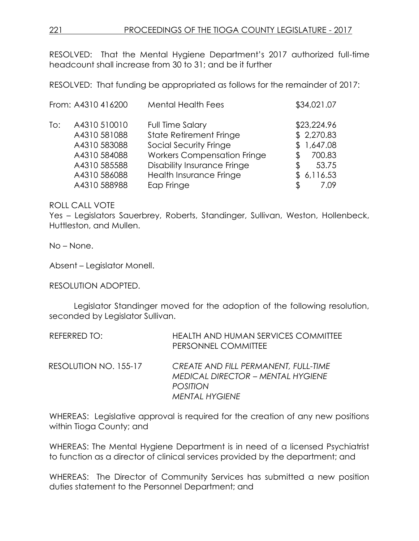RESOLVED: That the Mental Hygiene Department's 2017 authorized full-time headcount shall increase from 30 to 31; and be it further

RESOLVED: That funding be appropriated as follows for the remainder of 2017:

|     | From: A4310 416200 | <b>Mental Health Fees</b>          | \$34,021.07  |
|-----|--------------------|------------------------------------|--------------|
| To: | A4310 510010       | Full Time Salary                   | \$23,224.96  |
|     | A4310 581088       | <b>State Retirement Fringe</b>     | \$2,270.83   |
|     | A4310 583088       | Social Security Fringe             | \$1,647.08   |
|     | A4310 584088       | <b>Workers Compensation Fringe</b> | 700.83<br>ß. |
|     | A4310 585588       | <b>Disability Insurance Fringe</b> | 53.75<br>\$  |
|     | A4310 586088       | Health Insurance Fringe            | \$6,116.53   |
|     | A4310 588988       | Eap Fringe                         | 7.09         |

ROLL CALL VOTE

Yes – Legislators Sauerbrey, Roberts, Standinger, Sullivan, Weston, Hollenbeck, Huttleston, and Mullen.

No – None.

Absent – Legislator Monell.

RESOLUTION ADOPTED.

Legislator Standinger moved for the adoption of the following resolution, seconded by Legislator Sullivan.

| REFERRED TO:          | <b>HEALTH AND HUMAN SERVICES COMMITTEE</b><br>PERSONNEL COMMITTEE                                                            |
|-----------------------|------------------------------------------------------------------------------------------------------------------------------|
| RESOLUTION NO. 155-17 | CREATE AND FILL PERMANENT, FULL-TIME<br><b>MEDICAL DIRECTOR – MENTAL HYGIENE</b><br><b>POSITION</b><br><b>MENTAL HYGIENE</b> |

WHEREAS: Legislative approval is required for the creation of any new positions within Tioga County; and

WHEREAS: The Mental Hygiene Department is in need of a licensed Psychiatrist to function as a director of clinical services provided by the department; and

WHEREAS: The Director of Community Services has submitted a new position duties statement to the Personnel Department; and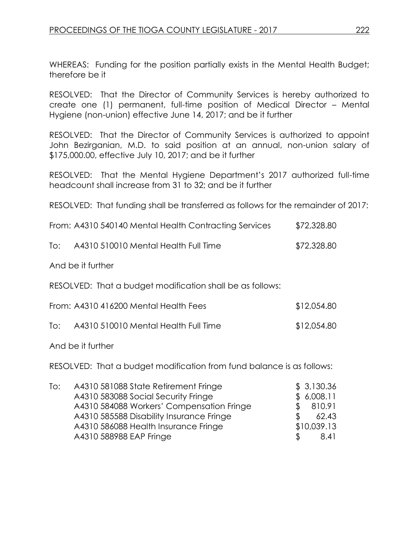WHEREAS: Funding for the position partially exists in the Mental Health Budget; therefore be it

RESOLVED: That the Director of Community Services is hereby authorized to create one (1) permanent, full-time position of Medical Director – Mental Hygiene (non-union) effective June 14, 2017; and be it further

RESOLVED: That the Director of Community Services is authorized to appoint John Bezirganian, M.D. to said position at an annual, non-union salary of \$175,000.00, effective July 10, 2017; and be it further

RESOLVED: That the Mental Hygiene Department's 2017 authorized full-time headcount shall increase from 31 to 32; and be it further

RESOLVED: That funding shall be transferred as follows for the remainder of 2017:

| From: A4310 540140 Mental Health Contracting Services | \$72,328.80 |  |
|-------------------------------------------------------|-------------|--|
|                                                       |             |  |

|  | lo: | A4310 510010 Mental Health Full Time | \$72,328.80 |
|--|-----|--------------------------------------|-------------|
|--|-----|--------------------------------------|-------------|

And be it further

RESOLVED: That a budget modification shall be as follows:

| From: A4310 416200 Mental Health Fees | \$12,054.80 |
|---------------------------------------|-------------|
|                                       |             |

To: A4310 510010 Mental Health Full Time \$12,054.80

And be it further

RESOLVED: That a budget modification from fund balance is as follows:

| To: | A4310 581088 State Retirement Fringe      | \$3,130.36   |
|-----|-------------------------------------------|--------------|
|     | A4310 583088 Social Security Fringe       | \$6,008.11   |
|     | A4310 584088 Workers' Compensation Fringe | 810.91       |
|     | A4310 585588 Disability Insurance Fringe  | 62.43<br>\$. |
|     | A4310 586088 Health Insurance Fringe      | \$10,039.13  |
|     | A4310 588988 EAP Fringe                   | \$.<br>8.41  |
|     |                                           |              |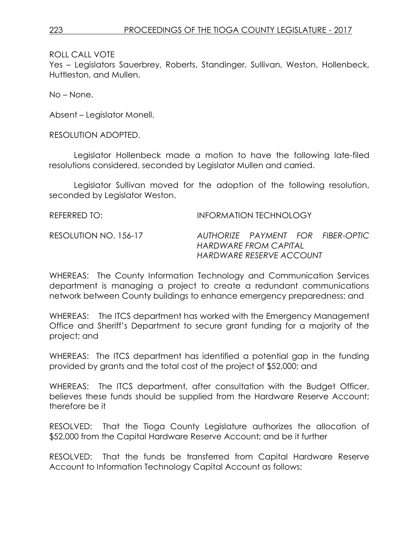Yes – Legislators Sauerbrey, Roberts, Standinger, Sullivan, Weston, Hollenbeck, Huttleston, and Mullen.

No – None.

Absent – Legislator Monell.

RESOLUTION ADOPTED.

Legislator Hollenbeck made a motion to have the following late-filed resolutions considered, seconded by Legislator Mullen and carried.

Legislator Sullivan moved for the adoption of the following resolution, seconded by Legislator Weston.

| REFERRED TO:          | INFORMATION TECHNOLOGY                            |  |  |                                   |
|-----------------------|---------------------------------------------------|--|--|-----------------------------------|
| RESOLUTION NO. 156-17 | HARDWARE FROM CAPITAL<br>HARDWARE RESERVE ACCOUNT |  |  | AUTHORIZE PAYMENT FOR FIBER-OPTIC |

WHEREAS: The County Information Technology and Communication Services department is managing a project to create a redundant communications network between County buildings to enhance emergency preparedness; and

WHEREAS: The ITCS department has worked with the Emergency Management Office and Sheriff's Department to secure grant funding for a majority of the project; and

WHEREAS: The ITCS department has identified a potential gap in the funding provided by grants and the total cost of the project of \$52,000; and

WHEREAS: The ITCS department, after consultation with the Budget Officer, believes these funds should be supplied from the Hardware Reserve Account; therefore be it

RESOLVED: That the Tioga County Legislature authorizes the allocation of \$52,000 from the Capital Hardware Reserve Account; and be it further

RESOLVED: That the funds be transferred from Capital Hardware Reserve Account to Information Technology Capital Account as follows: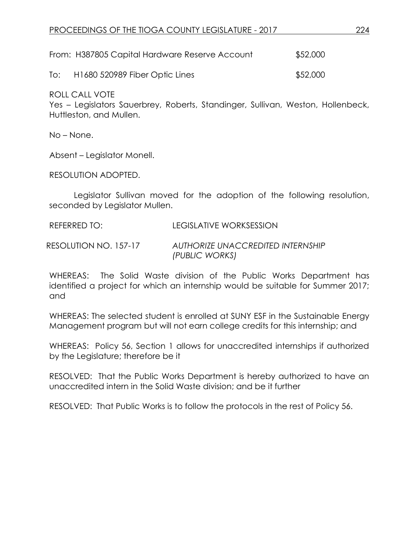|     | From: H387805 Capital Hardware Reserve Account | \$52,000 |
|-----|------------------------------------------------|----------|
| To: | H1680 520989 Fiber Optic Lines                 | \$52,000 |

Yes – Legislators Sauerbrey, Roberts, Standinger, Sullivan, Weston, Hollenbeck, Huttleston, and Mullen.

No – None.

Absent – Legislator Monell.

RESOLUTION ADOPTED.

Legislator Sullivan moved for the adoption of the following resolution, seconded by Legislator Mullen.

REFERRED TO: LEGISLATIVE WORKSESSION

RESOLUTION NO. 157-17 *AUTHORIZE UNACCREDITED INTERNSHIP (PUBLIC WORKS)*

WHEREAS: The Solid Waste division of the Public Works Department has identified a project for which an internship would be suitable for Summer 2017; and

WHEREAS: The selected student is enrolled at SUNY ESF in the Sustainable Energy Management program but will not earn college credits for this internship; and

WHEREAS: Policy 56, Section 1 allows for unaccredited internships if authorized by the Legislature; therefore be it

RESOLVED: That the Public Works Department is hereby authorized to have an unaccredited intern in the Solid Waste division; and be it further

RESOLVED: That Public Works is to follow the protocols in the rest of Policy 56.